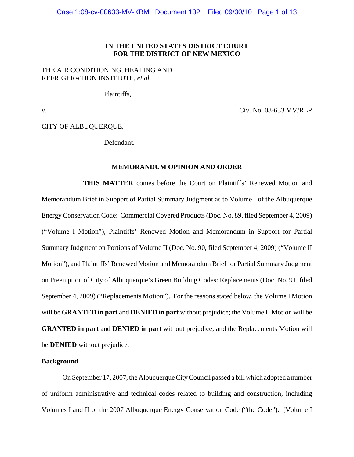## **IN THE UNITED STATES DISTRICT COURT FOR THE DISTRICT OF NEW MEXICO**

# THE AIR CONDITIONING, HEATING AND REFRIGERATION INSTITUTE, *et al.,*

Plaintiffs,

v. Civ. No. 08-633 MV/RLP

CITY OF ALBUQUERQUE,

Defendant.

## **MEMORANDUM OPINION AND ORDER**

**THIS MATTER** comes before the Court on Plaintiffs' Renewed Motion and Memorandum Brief in Support of Partial Summary Judgment as to Volume I of the Albuquerque Energy Conservation Code: Commercial Covered Products (Doc. No. 89, filed September 4, 2009) ("Volume I Motion"), Plaintiffs' Renewed Motion and Memorandum in Support for Partial Summary Judgment on Portions of Volume II (Doc. No. 90, filed September 4, 2009) ("Volume II Motion"), and Plaintiffs' Renewed Motion and Memorandum Brief for Partial Summary Judgment on Preemption of City of Albuquerque's Green Building Codes: Replacements (Doc. No. 91, filed September 4, 2009) ("Replacements Motion"). For the reasons stated below, the Volume I Motion will be **GRANTED in part** and **DENIED in part** without prejudice; the Volume II Motion will be **GRANTED in part** and **DENIED in part** without prejudice; and the Replacements Motion will be **DENIED** without prejudice.

## **Background**

On September 17, 2007, the Albuquerque City Council passed a bill which adopted a number of uniform administrative and technical codes related to building and construction, including Volumes I and II of the 2007 Albuquerque Energy Conservation Code ("the Code"). (Volume I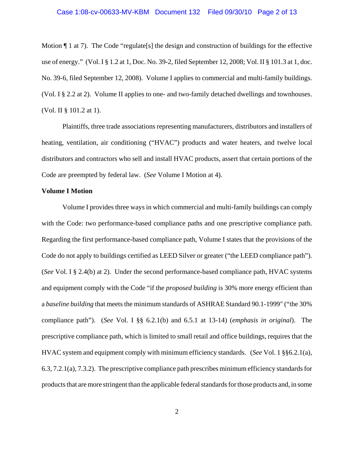Motion  $\P$  1 at 7). The Code "regulate [s] the design and construction of buildings for the effective use of energy." (Vol. I § 1.2 at 1, Doc. No. 39-2, filed September 12, 2008; Vol. II § 101.3 at 1, doc. No. 39-6, filed September 12, 2008). Volume I applies to commercial and multi-family buildings. (Vol. I § 2.2 at 2). Volume II applies to one- and two-family detached dwellings and townhouses. (Vol. II § 101.2 at 1).

Plaintiffs, three trade associations representing manufacturers, distributors and installers of heating, ventilation, air conditioning ("HVAC") products and water heaters, and twelve local distributors and contractors who sell and install HVAC products, assert that certain portions of the Code are preempted by federal law. (*See* Volume I Motion at 4).

## **Volume I Motion**

Volume I provides three ways in which commercial and multi-family buildings can comply with the Code: two performance-based compliance paths and one prescriptive compliance path. Regarding the first performance-based compliance path, Volume I states that the provisions of the Code do not apply to buildings certified as LEED Silver or greater ("the LEED compliance path"). (*See* Vol. I § 2.4(b) at 2). Under the second performance-based compliance path, HVAC systems and equipment comply with the Code "if the *proposed building* is 30% more energy efficient than a *baseline building* that meets the minimum standards of ASHRAE Standard 90.1-1999" ("the 30% compliance path"). (*See* Vol. I §§ 6.2.1(b) and 6.5.1 at 13-14) (*emphasis in original*). The prescriptive compliance path, which is limited to small retail and office buildings, requires that the HVAC system and equipment comply with minimum efficiency standards. (*See* Vol. 1 §§6.2.1(a), 6.3, 7.2.1(a), 7.3.2). The prescriptive compliance path prescribes minimum efficiency standards for products that are more stringent than the applicable federal standards for those products and, in some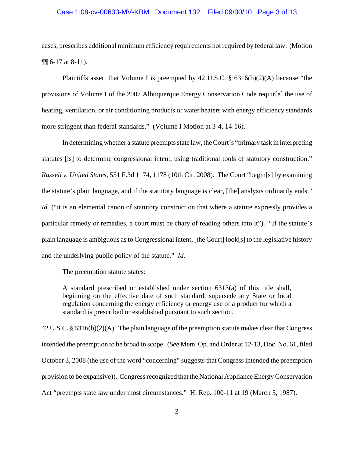## Case 1:08-cv-00633-MV-KBM Document 132 Filed 09/30/10 Page 3 of 13

cases, prescribes additional minimum efficiency requirements not required by federal law. (Motion ¶¶ 6-17 at 8-11).

Plaintiffs assert that Volume I is preempted by 42 U.S.C.  $\S$  6316(b)(2)(A) because "the provisions of Volume I of the 2007 Albuquerque Energy Conservation Code requir[e] the use of heating, ventilation, or air conditioning products or water heaters with energy efficiency standards more stringent than federal standards." (Volume I Motion at 3-4, 14-16).

In determining whether a statute preempts state law, the Court's "primary task in interpreting statutes [is] to determine congressional intent, using traditional tools of statutory construction." *Russell v. United States*, 551 F.3d 1174, 1178 (10th Cir. 2008). The Court "begin[s] by examining the statute's plain language, and if the statutory language is clear, [the] analysis ordinarily ends." *Id.* ("it is an elemental canon of statutory construction that where a statute expressly provides a particular remedy or remedies, a court must be chary of reading others into it"). "If the statute's plain language is ambiguous as to Congressional intent, [the Court] look[s] to the legislative history and the underlying public policy of the statute." *Id.*

The preemption statute states:

A standard prescribed or established under section 6313(a) of this title shall, beginning on the effective date of such standard, supersede any State or local regulation concerning the energy efficiency or energy use of a product for which a standard is prescribed or established pursuant to such section.

42 U.S.C. § 6316(b)(2)(A). The plain language of the preemption statute makes clear that Congress intended the preemption to be broad in scope. (*See* Mem. Op. and Order at 12-13, Doc. No. 61, filed October 3, 2008 (the use of the word "concerning" suggests that Congress intended the preemption provision to be expansive)). Congress recognized that the National Appliance Energy Conservation Act "preempts state law under most circumstances." H. Rep. 100-11 at 19 (March 3, 1987).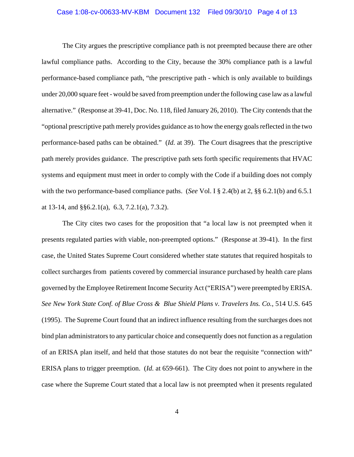## Case 1:08-cv-00633-MV-KBM Document 132 Filed 09/30/10 Page 4 of 13

The City argues the prescriptive compliance path is not preempted because there are other lawful compliance paths. According to the City, because the 30% compliance path is a lawful performance-based compliance path, "the prescriptive path - which is only available to buildings under 20,000 square feet - would be saved from preemption under the following case law as a lawful alternative." (Response at 39-41, Doc. No. 118, filed January 26, 2010). The City contends that the "optional prescriptive path merely provides guidance as to how the energy goals reflected in the two performance-based paths can be obtained." (*Id.* at 39). The Court disagrees that the prescriptive path merely provides guidance. The prescriptive path sets forth specific requirements that HVAC systems and equipment must meet in order to comply with the Code if a building does not comply with the two performance-based compliance paths. (*See* Vol. I § 2.4(b) at 2, §§ 6.2.1(b) and 6.5.1 at 13-14, and §§6.2.1(a), 6.3, 7.2.1(a), 7.3.2).

The City cites two cases for the proposition that "a local law is not preempted when it presents regulated parties with viable, non-preempted options." (Response at 39-41). In the first case, the United States Supreme Court considered whether state statutes that required hospitals to collect surcharges from patients covered by commercial insurance purchased by health care plans governed by the Employee Retirement Income Security Act ("ERISA") were preempted by ERISA. *See New York State Conf. of Blue Cross & Blue Shield Plans v. Travelers Ins. Co.*, 514 U.S. 645 (1995). The Supreme Court found that an indirect influence resulting from the surcharges does not bind plan administrators to any particular choice and consequently does not function as a regulation of an ERISA plan itself, and held that those statutes do not bear the requisite "connection with" ERISA plans to trigger preemption. (*Id.* at 659-661). The City does not point to anywhere in the case where the Supreme Court stated that a local law is not preempted when it presents regulated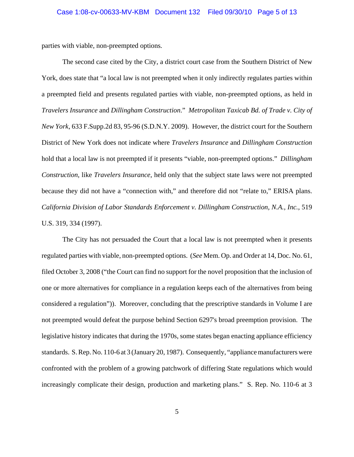parties with viable, non-preempted options*.*

The second case cited by the City, a district court case from the Southern District of New York, does state that "a local law is not preempted when it only indirectly regulates parties within a preempted field and presents regulated parties with viable, non-preempted options, as held in *Travelers Insurance* and *Dillingham Construction*." *Metropolitan Taxicab Bd. of Trade v. City of New York*, 633 F.Supp.2d 83, 95-96 (S.D.N.Y. 2009). However, the district court for the Southern District of New York does not indicate where *Travelers Insurance* and *Dillingham Construction* hold that a local law is not preempted if it presents "viable, non-preempted options." *Dillingham Construction*, like *Travelers Insurance*, held only that the subject state laws were not preempted because they did not have a "connection with," and therefore did not "relate to," ERISA plans. *California Division of Labor Standards Enforcement v. Dillingham Construction, N.A., Inc.*, 519 U.S. 319, 334 (1997).

The City has not persuaded the Court that a local law is not preempted when it presents regulated parties with viable, non-preempted options. (*See* Mem. Op. and Order at 14, Doc. No. 61, filed October 3, 2008 ("the Court can find no support for the novel proposition that the inclusion of one or more alternatives for compliance in a regulation keeps each of the alternatives from being considered a regulation")). Moreover, concluding that the prescriptive standards in Volume I are not preempted would defeat the purpose behind Section 6297's broad preemption provision. The legislative history indicates that during the 1970s, some states began enacting appliance efficiency standards. S. Rep. No. 110-6 at 3 (January 20, 1987). Consequently, "appliance manufacturers were confronted with the problem of a growing patchwork of differing State regulations which would increasingly complicate their design, production and marketing plans." S. Rep. No. 110-6 at 3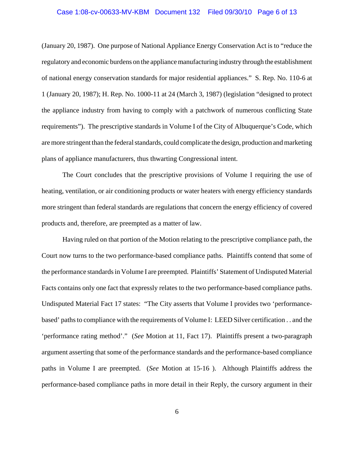## Case 1:08-cv-00633-MV-KBM Document 132 Filed 09/30/10 Page 6 of 13

(January 20, 1987). One purpose of National Appliance Energy Conservation Act is to "reduce the regulatory and economic burdens on the appliance manufacturing industry through the establishment of national energy conservation standards for major residential appliances." S. Rep. No. 110-6 at 1 (January 20, 1987); H. Rep. No. 1000-11 at 24 (March 3, 1987) (legislation "designed to protect the appliance industry from having to comply with a patchwork of numerous conflicting State requirements"). The prescriptive standards in Volume I of the City of Albuquerque's Code, which are more stringent than the federal standards, could complicate the design, production and marketing plans of appliance manufacturers, thus thwarting Congressional intent.

The Court concludes that the prescriptive provisions of Volume I requiring the use of heating, ventilation, or air conditioning products or water heaters with energy efficiency standards more stringent than federal standards are regulations that concern the energy efficiency of covered products and, therefore, are preempted as a matter of law.

Having ruled on that portion of the Motion relating to the prescriptive compliance path, the Court now turns to the two performance-based compliance paths. Plaintiffs contend that some of the performance standards in Volume I are preempted. Plaintiffs' Statement of Undisputed Material Facts contains only one fact that expressly relates to the two performance-based compliance paths. Undisputed Material Fact 17 states: "The City asserts that Volume I provides two 'performancebased' paths to compliance with the requirements of Volume I: LEED Silver certification . . and the 'performance rating method'." (*See* Motion at 11, Fact 17). Plaintiffs present a two-paragraph argument asserting that some of the performance standards and the performance-based compliance paths in Volume I are preempted. (*See* Motion at 15-16 ). Although Plaintiffs address the performance-based compliance paths in more detail in their Reply, the cursory argument in their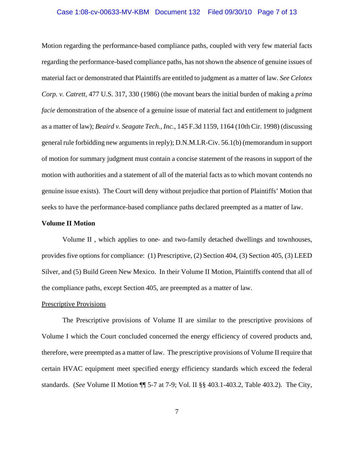## Case 1:08-cv-00633-MV-KBM Document 132 Filed 09/30/10 Page 7 of 13

Motion regarding the performance-based compliance paths, coupled with very few material facts regarding the performance-based compliance paths, has not shown the absence of genuine issues of material fact or demonstrated that Plaintiffs are entitled to judgment as a matter of law. *See Celotex Corp. v. Catrett*, 477 U.S. 317, 330 (1986) (the movant bears the initial burden of making a *prima facie* demonstration of the absence of a genuine issue of material fact and entitlement to judgment as a matter of law); *Beaird v. Seagate Tech., Inc.*, 145 F.3d 1159, 1164 (10th Cir. 1998) (discussing general rule forbidding new arguments in reply); D.N.M.LR-Civ. 56.1(b) (memorandum in support of motion for summary judgment must contain a concise statement of the reasons in support of the motion with authorities and a statement of all of the material facts as to which movant contends no genuine issue exists). The Court will deny without prejudice that portion of Plaintiffs' Motion that seeks to have the performance-based compliance paths declared preempted as a matter of law.

## **Volume II Motion**

Volume II , which applies to one- and two-family detached dwellings and townhouses, provides five options for compliance: (1) Prescriptive, (2) Section 404, (3) Section 405, (3) LEED Silver, and (5) Build Green New Mexico. In their Volume II Motion, Plaintiffs contend that all of the compliance paths, except Section 405, are preempted as a matter of law.

#### Prescriptive Provisions

The Prescriptive provisions of Volume II are similar to the prescriptive provisions of Volume I which the Court concluded concerned the energy efficiency of covered products and, therefore, were preempted as a matter of law. The prescriptive provisions of Volume II require that certain HVAC equipment meet specified energy efficiency standards which exceed the federal standards. (*See* Volume II Motion ¶¶ 5-7 at 7-9; Vol. II §§ 403.1-403.2, Table 403.2). The City,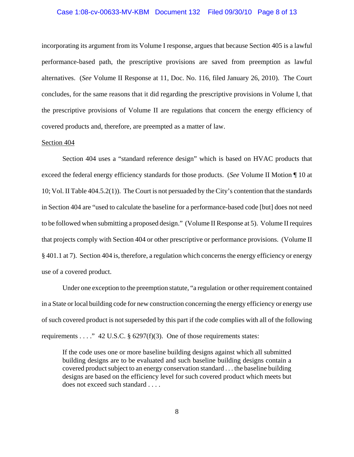## Case 1:08-cv-00633-MV-KBM Document 132 Filed 09/30/10 Page 8 of 13

incorporating its argument from its Volume I response, argues that because Section 405 is a lawful performance-based path, the prescriptive provisions are saved from preemption as lawful alternatives. (*See* Volume II Response at 11, Doc. No. 116, filed January 26, 2010). The Court concludes, for the same reasons that it did regarding the prescriptive provisions in Volume I, that the prescriptive provisions of Volume II are regulations that concern the energy efficiency of covered products and, therefore, are preempted as a matter of law.

## Section 404

Section 404 uses a "standard reference design" which is based on HVAC products that exceed the federal energy efficiency standards for those products. (*See* Volume II Motion ¶ 10 at 10; Vol. II Table 404.5.2(1)). The Court is not persuaded by the City's contention that the standards in Section 404 are "used to calculate the baseline for a performance-based code [but] does not need to be followed when submitting a proposed design." (Volume II Response at 5). Volume II requires that projects comply with Section 404 or other prescriptive or performance provisions. (Volume II § 401.1 at 7). Section 404 is, therefore, a regulation which concerns the energy efficiency or energy use of a covered product.

Under one exception to the preemption statute, "a regulation or other requirement contained in a State or local building code for new construction concerning the energy efficiency or energy use of such covered product is not superseded by this part if the code complies with all of the following requirements . . . ." 42 U.S.C.  $\S$  6297(f)(3). One of those requirements states:

If the code uses one or more baseline building designs against which all submitted building designs are to be evaluated and such baseline building designs contain a covered product subject to an energy conservation standard . . . the baseline building designs are based on the efficiency level for such covered product which meets but does not exceed such standard . . . .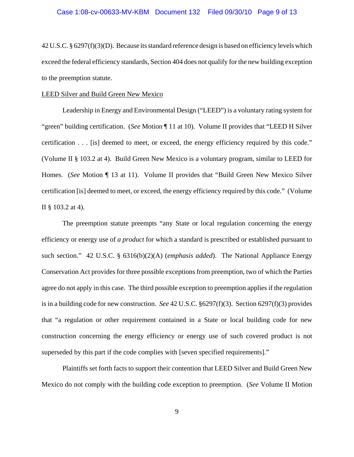42 U.S.C. § 6297(f)(3)(D). Because its standard reference design is based on efficiency levels which exceed the federal efficiency standards, Section 404 does not qualify for the new building exception to the preemption statute.

#### LEED Silver and Build Green New Mexico

Leadership in Energy and Environmental Design ("LEED") is a voluntary rating system for "green" building certification. (*See* Motion ¶ 11 at 10). Volume II provides that "LEED H Silver certification . . . [is] deemed to meet, or exceed, the energy efficiency required by this code." (Volume II § 103.2 at 4). Build Green New Mexico is a voluntary program, similar to LEED for Homes. (*See* Motion ¶ 13 at 11). Volume II provides that "Build Green New Mexico Silver certification [is] deemed to meet, or exceed, the energy efficiency required by this code." (Volume II § 103.2 at 4).

The preemption statute preempts "any State or local regulation concerning the energy efficiency or energy use of *a product* for which a standard is prescribed or established pursuant to such section." 42 U.S.C. § 6316(b)(2)(A) (*emphasis added*). The National Appliance Energy Conservation Act provides for three possible exceptions from preemption, two of which the Parties agree do not apply in this case. The third possible exception to preemption applies if the regulation is in a building code for new construction. *See* 42 U.S.C. §6297(f)(3). Section 6297(f)(3) provides that "a regulation or other requirement contained in a State or local building code for new construction concerning the energy efficiency or energy use of such covered product is not superseded by this part if the code complies with [seven specified requirements]."

Plaintiffs set forth facts to support their contention that LEED Silver and Build Green New Mexico do not comply with the building code exception to preemption. (*See* Volume II Motion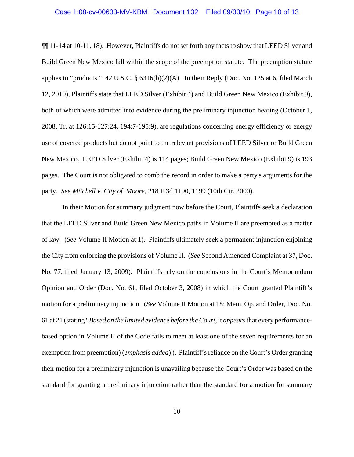¶¶ 11-14 at 10-11, 18). However, Plaintiffs do not set forth any facts to show that LEED Silver and Build Green New Mexico fall within the scope of the preemption statute. The preemption statute applies to "products." 42 U.S.C. §  $6316(b)(2)(A)$ . In their Reply (Doc. No. 125 at 6, filed March 12, 2010), Plaintiffs state that LEED Silver (Exhibit 4) and Build Green New Mexico (Exhibit 9), both of which were admitted into evidence during the preliminary injunction hearing (October 1, 2008, Tr. at 126:15-127:24, 194:7-195:9), are regulations concerning energy efficiency or energy use of covered products but do not point to the relevant provisions of LEED Silver or Build Green New Mexico. LEED Silver (Exhibit 4) is 114 pages; Build Green New Mexico (Exhibit 9) is 193 pages. The Court is not obligated to comb the record in order to make a party's arguments for the party. *See Mitchell v. City of Moore*, 218 F.3d 1190, 1199 (10th Cir. 2000).

 In their Motion for summary judgment now before the Court, Plaintiffs seek a declaration that the LEED Silver and Build Green New Mexico paths in Volume II are preempted as a matter of law. (*See* Volume II Motion at 1). Plaintiffs ultimately seek a permanent injunction enjoining the City from enforcing the provisions of Volume II. (*See* Second Amended Complaint at 37, Doc. No. 77, filed January 13, 2009). Plaintiffs rely on the conclusions in the Court's Memorandum Opinion and Order (Doc. No. 61, filed October 3, 2008) in which the Court granted Plaintiff's motion for a preliminary injunction. (*See* Volume II Motion at 18; Mem. Op. and Order, Doc. No. 61 at 21 (stating "*Based on the limited evidence before the Court*, it *appears* that every performancebased option in Volume II of the Code fails to meet at least one of the seven requirements for an exemption from preemption) (*emphasis added*) ). Plaintiff's reliance on the Court's Order granting their motion for a preliminary injunction is unavailing because the Court's Order was based on the standard for granting a preliminary injunction rather than the standard for a motion for summary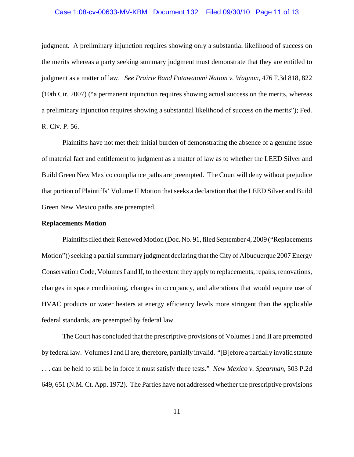## Case 1:08-cv-00633-MV-KBM Document 132 Filed 09/30/10 Page 11 of 13

judgment. A preliminary injunction requires showing only a substantial likelihood of success on the merits whereas a party seeking summary judgment must demonstrate that they are entitled to judgment as a matter of law. *See Prairie Band Potawatomi Nation v. Wagnon*, 476 F.3d 818, 822 (10th Cir. 2007) ("a permanent injunction requires showing actual success on the merits, whereas a preliminary injunction requires showing a substantial likelihood of success on the merits"); Fed. R. Civ. P. 56.

Plaintiffs have not met their initial burden of demonstrating the absence of a genuine issue of material fact and entitlement to judgment as a matter of law as to whether the LEED Silver and Build Green New Mexico compliance paths are preempted. The Court will deny without prejudice that portion of Plaintiffs' Volume II Motion that seeks a declaration that the LEED Silver and Build Green New Mexico paths are preempted.

## **Replacements Motion**

Plaintiffs filed their Renewed Motion (Doc. No. 91, filed September 4, 2009 ("Replacements Motion")) seeking a partial summary judgment declaring that the City of Albuquerque 2007 Energy Conservation Code, Volumes I and II, to the extent they apply to replacements, repairs, renovations, changes in space conditioning, changes in occupancy, and alterations that would require use of HVAC products or water heaters at energy efficiency levels more stringent than the applicable federal standards, are preempted by federal law.

The Court has concluded that the prescriptive provisions of Volumes I and II are preempted by federal law. Volumes I and II are, therefore, partially invalid. "[B]efore a partially invalid statute . . . can be held to still be in force it must satisfy three tests." *New Mexico v. Spearman*, 503 P.2d 649, 651 (N.M. Ct. App. 1972). The Parties have not addressed whether the prescriptive provisions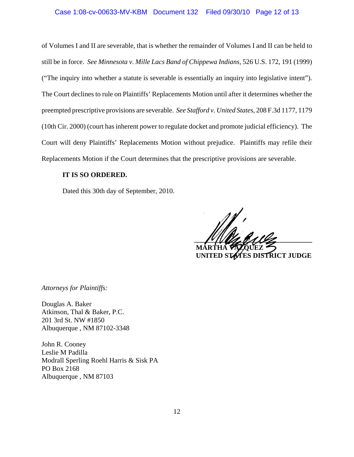## Case 1:08-cv-00633-MV-KBM Document 132 Filed 09/30/10 Page 12 of 13

of Volumes I and II are severable, that is whether the remainder of Volumes I and II can be held to still be in force. *See Minnesota v. Mille Lacs Band of Chippewa Indians*, 526 U.S. 172, 191 (1999) ("The inquiry into whether a statute is severable is essentially an inquiry into legislative intent"). The Court declines to rule on Plaintiffs' Replacements Motion until after it determines whether the preempted prescriptive provisions are severable. *See Stafford v. United States*, 208 F.3d 1177, 1179 (10th Cir. 2000) (court has inherent power to regulate docket and promote judicial efficiency). The Court will deny Plaintiffs' Replacements Motion without prejudice. Plaintiffs may refile their Replacements Motion if the Court determines that the prescriptive provisions are severable.

## **IT IS SO ORDERED.**

Dated this 30th day of September, 2010.

 $\frac{1}{2}$  **MARTHA VÁZQUEZ**

 **UNITED STATES DISTRICT JUDGE**

*Attorneys for Plaintiffs:*

Douglas A. Baker Atkinson, Thal & Baker, P.C. 201 3rd St. NW #1850 Albuquerque , NM 87102-3348

John R. Cooney Leslie M Padilla Modrall Sperling Roehl Harris & Sisk PA PO Box 2168 Albuquerque , NM 87103